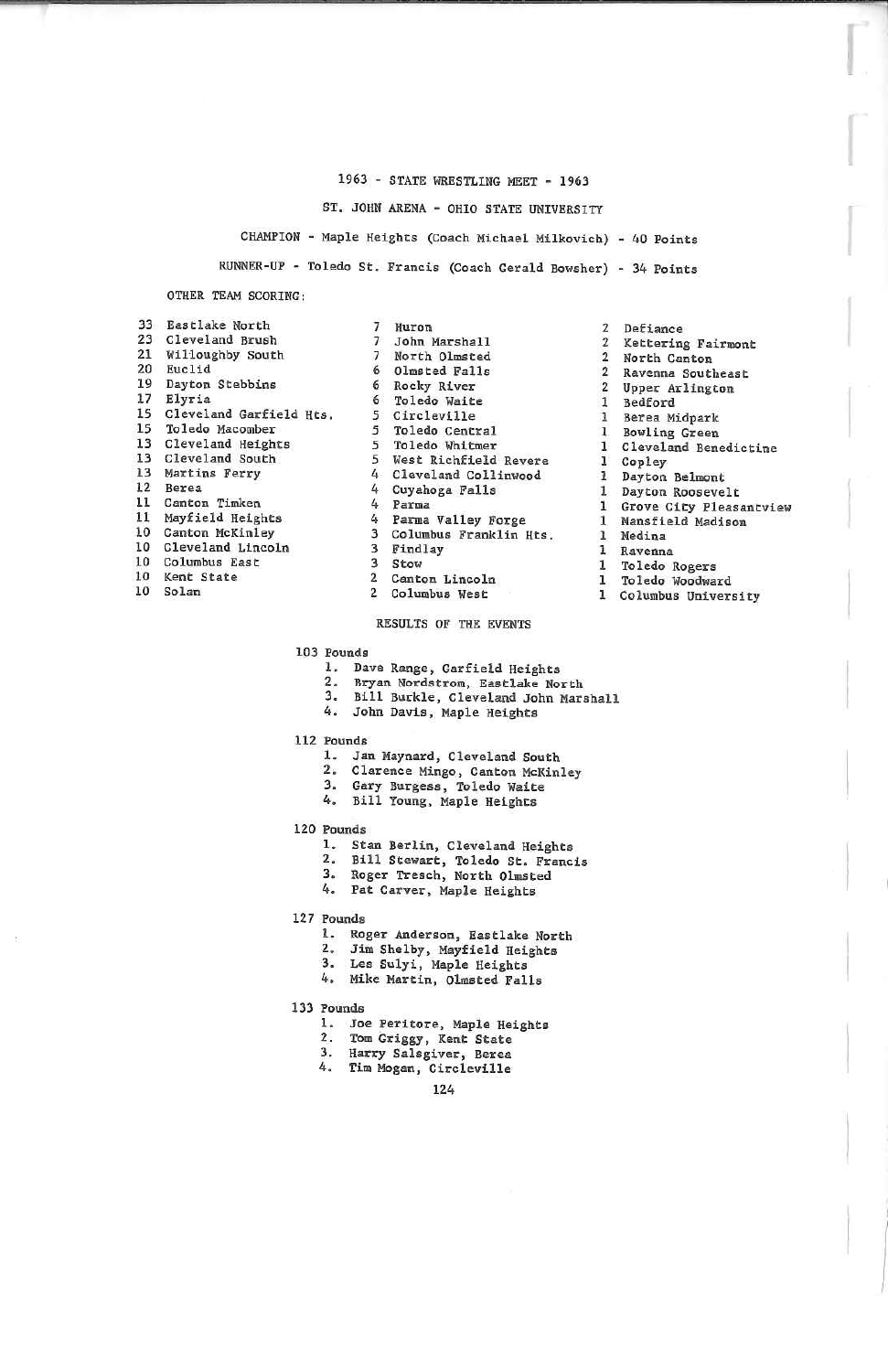# 1963 - STATE WRESTLING MEET - 1963

ST. JOHN ARENA - OHIO STATE UNIVERSITY

CHAMPION - Maple Heights (Coach Michael Milkovich) - 40 Points

RUNNER-UP - Toledo St. Francis (Coach Gerald Bowsher) - 34 Points

OTHER TEAM SCORING:

- 33 Eastlake North 23 Cleveland Brush 21 Willoughby South 20 Euclid 19 Dayton Stebbins 17 Elyria Cleveland Garfield Hts. 15 15 Toledo Macomber 13 Cleveland Heights 13 Cleveland South 13 Martins Ferry  $12$ Berea 11 Canton Timken 11 Mayfield Heights 10 Canton McKinley 10 Cleveland Lincoln 10 Columbus East 10 Kent State 10 Solan
- 7 Huron 7 John Marshall 7 North Olmsted 6 Olmsted Falls 6 Rocky River 6 Toledo Waite 5 Circleville 5 Toledo Central 5 Toledo Whitmer 5 West Richfield Revere 4 Cleveland Collinwood 4 Cuyahoga Falls 4 Parma 4 Parma Valley Forge 3 Columbus Franklin Hts. 3 Findlay 3 Stow 2 Canton Lincoln 2 Columbus West

- 103 Pounds
	- 1. Dave Range, Garfield Heights
	- 2. Bryan Nordstrom, Eastlake North
	- 3. Bill Burkle, Cleveland John Marshall<br>4. John Davis, Maple Heights
	-
	- 112 Pounds
		- 1. Jan Maynard, Cleveland South
		- 2. Clarence Mingo, Canton McKinley
		- 3. Gary Burgess, Toledo Waite
		- 4. Bill Young, Maple Heights
- 120 Pounds
	- 1. Stan Berlin, Cleveland Heights
	-
	- 2. Bill Stewart, Toledo St. Francis<br>3. Roger Tresch, North Olmsted
	- 4. Pat Carver, Maple Heights
- 127 Pounds
	- 1. Roger Anderson, Eastlake North
	- 2. Jim Shelby, Mayfield Heights
	- 3. Les Sulyi, Maple Heights
	- 4. Mike Martin, Olmsted Falls
- 133 Pounds
	- 1. Joe Peritore, Maple Heights
	- 2. Tom Griggy, Kent State
	-
	- 3. Harry Salsgiver, Berea<br>4. Tim Mogan, Circleville

124

- 2 Defiance 2 Kettering Fairmont 2 North Canton<br>2 Ravenna Southeast<br>2 Upper Arlington<br>1 Bedford 1 Bowling Green<br>1 Cleveland Benedictine 1 Dayton Belmont<br>1 Dayton Roosevelt 1 Grove City Pleasantview 1 Ravenna<br>1 Toledo Rogers
	-
- 
- 
- 1 Berea Midpark
- -
- 1 Copley
- 
- 
- 
- 1 Mansfield Madison
- 1 Medina
	-
- 
- 1 Toledo Woodward
- 1 Columbus University
- 
- 
- RESULTS OF THE EVENTS
- 
- 
- 
- 
-